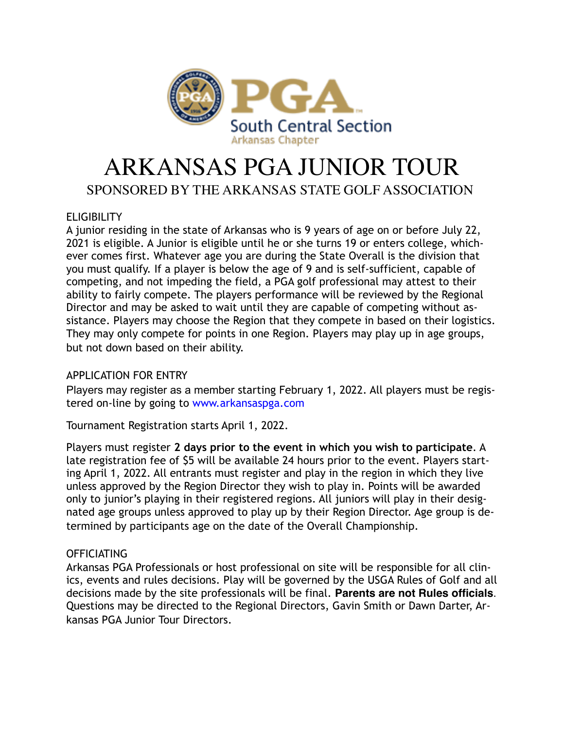

# ARKANSAS PGA JUNIOR TOUR

## SPONSORED BY THE ARKANSAS STATE GOLF ASSOCIATION

#### **ELIGIBILITY**

A junior residing in the state of Arkansas who is 9 years of age on or before July 22, 2021 is eligible. A Junior is eligible until he or she turns 19 or enters college, whichever comes first. Whatever age you are during the State Overall is the division that you must qualify. If a player is below the age of 9 and is self-sufficient, capable of competing, and not impeding the field, a PGA golf professional may attest to their ability to fairly compete. The players performance will be reviewed by the Regional Director and may be asked to wait until they are capable of competing without assistance. Players may choose the Region that they compete in based on their logistics. They may only compete for points in one Region. Players may play up in age groups, but not down based on their ability.

### APPLICATION FOR ENTRY

Players may register as a member starting February 1, 2022. All players must be registered on-line by going to www.arkansaspga.com

Tournament Registration starts April 1, 2022.

Players must register **2 days prior to the event in which you wish to participate**. A late registration fee of \$5 will be available 24 hours prior to the event. Players starting April 1, 2022. All entrants must register and play in the region in which they live unless approved by the Region Director they wish to play in. Points will be awarded only to junior's playing in their registered regions. All juniors will play in their designated age groups unless approved to play up by their Region Director. Age group is determined by participants age on the date of the Overall Championship.

#### **OFFICIATING**

Arkansas PGA Professionals or host professional on site will be responsible for all clinics, events and rules decisions. Play will be governed by the USGA Rules of Golf and all decisions made by the site professionals will be final. **Parents are not Rules officials**. Questions may be directed to the Regional Directors, Gavin Smith or Dawn Darter, Arkansas PGA Junior Tour Directors.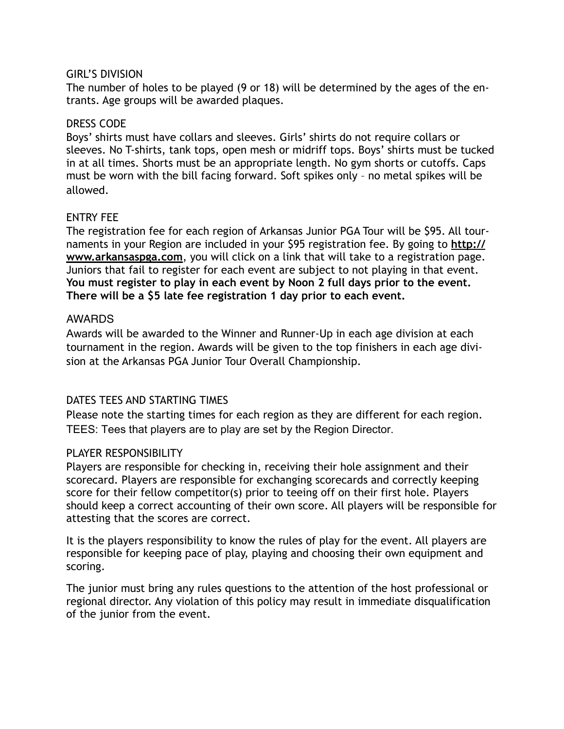#### GIRL'S DIVISION

The number of holes to be played (9 or 18) will be determined by the ages of the entrants. Age groups will be awarded plaques.

#### DRESS CODE

Boys' shirts must have collars and sleeves. Girls' shirts do not require collars or sleeves. No T-shirts, tank tops, open mesh or midriff tops. Boys' shirts must be tucked in at all times. Shorts must be an appropriate length. No gym shorts or cutoffs. Caps must be worn with the bill facing forward. Soft spikes only – no metal spikes will be allowed.

#### ENTRY FEE

The registration fee for each region of Arkansas Junior PGA Tour will be \$95. All tournaments in your Region are included in your \$95 registration fee. By going to **[http://](http://www.arkansaspga.com) [www.arkansaspga.com](http://www.arkansaspga.com)**, you will click on a link that will take to a registration page. Juniors that fail to register for each event are subject to not playing in that event. **You must register to play in each event by Noon 2 full days prior to the event. There will be a \$5 late fee registration 1 day prior to each event.**

#### AWARDS

Awards will be awarded to the Winner and Runner-Up in each age division at each tournament in the region. Awards will be given to the top finishers in each age division at the Arkansas PGA Junior Tour Overall Championship.

#### DATES TEES AND STARTING TIMES

Please note the starting times for each region as they are different for each region. TEES: Tees that players are to play are set by the Region Director.

#### PLAYER RESPONSIBILITY

Players are responsible for checking in, receiving their hole assignment and their scorecard. Players are responsible for exchanging scorecards and correctly keeping score for their fellow competitor(s) prior to teeing off on their first hole. Players should keep a correct accounting of their own score. All players will be responsible for attesting that the scores are correct.

It is the players responsibility to know the rules of play for the event. All players are responsible for keeping pace of play, playing and choosing their own equipment and scoring.

The junior must bring any rules questions to the attention of the host professional or regional director. Any violation of this policy may result in immediate disqualification of the junior from the event.